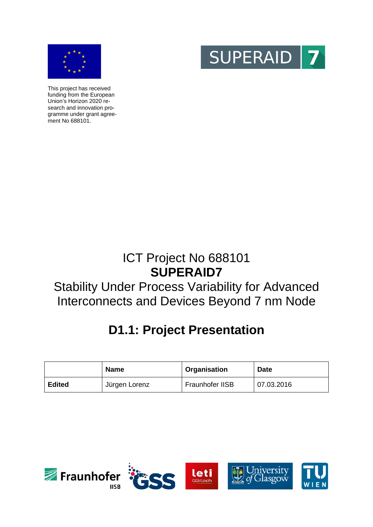



This project has received funding from the European Union's Horizon 2020 research and innovation programme under grant agreement No 688101.

## ICT Project No 688101 **SUPERAID7**

## Stability Under Process Variability for Advanced Interconnects and Devices Beyond 7 nm Node

# **D1.1: Project Presentation**

|               | <b>Name</b>   | Organisation    | <b>Date</b> |
|---------------|---------------|-----------------|-------------|
| <b>Edited</b> | Jürgen Lorenz | Fraunhofer IISB | 07.03.2016  |

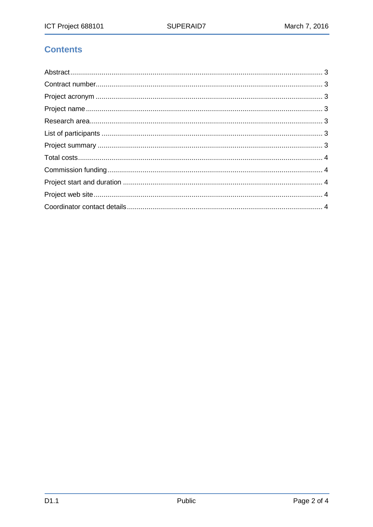## **Contents**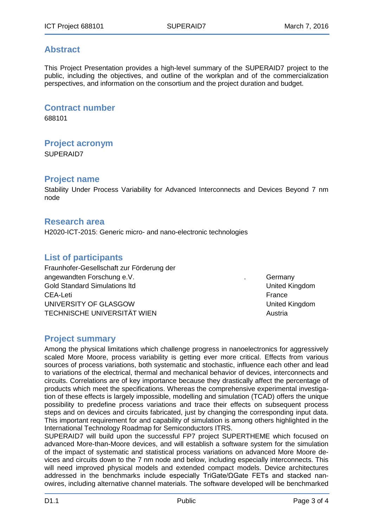### <span id="page-2-0"></span>**Abstract**

This Project Presentation provides a high-level summary of the SUPERAID7 project to the public, including the objectives, and outline of the workplan and of the commercialization perspectives, and information on the consortium and the project duration and budget.

#### <span id="page-2-1"></span>**Contract number**

688101

#### <span id="page-2-2"></span>**Project acronym**

SUPERAID7

#### <span id="page-2-3"></span>**Project name**

<span id="page-2-4"></span>Stability Under Process Variability for Advanced Interconnects and Devices Beyond 7 nm node

#### **Research area**

H2020-ICT-2015: Generic micro- and nano-electronic technologies

### <span id="page-2-5"></span>**List of participants**

Fraunhofer-Gesellschaft zur Förderung der angewandten Forschung e.V. **Example 2018** 2019 11: Germany Gold Standard Simulations ltd United Kingdom CEA-Leti France UNIVERSITY OF GLASGOW UNIVERSITY OF GLASGOW TECHNISCHE UNIVERSITÄT WIEN Austria

#### <span id="page-2-6"></span>**Project summary**

Among the physical limitations which challenge progress in nanoelectronics for aggressively scaled More Moore, process variability is getting ever more critical. Effects from various sources of process variations, both systematic and stochastic, influence each other and lead to variations of the electrical, thermal and mechanical behavior of devices, interconnects and circuits. Correlations are of key importance because they drastically affect the percentage of products which meet the specifications. Whereas the comprehensive experimental investigation of these effects is largely impossible, modelling and simulation (TCAD) offers the unique possibility to predefine process variations and trace their effects on subsequent process steps and on devices and circuits fabricated, just by changing the corresponding input data. This important requirement for and capability of simulation is among others highlighted in the International Technology Roadmap for Semiconductors ITRS.

SUPERAID7 will build upon the successful FP7 project SUPERTHEME which focused on advanced More-than-Moore devices, and will establish a software system for the simulation of the impact of systematic and statistical process variations on advanced More Moore devices and circuits down to the 7 nm node and below, including especially interconnects. This will need improved physical models and extended compact models. Device architectures addressed in the benchmarks include especially TriGate/ΩGate FETs and stacked nanowires, including alternative channel materials. The software developed will be benchmarked